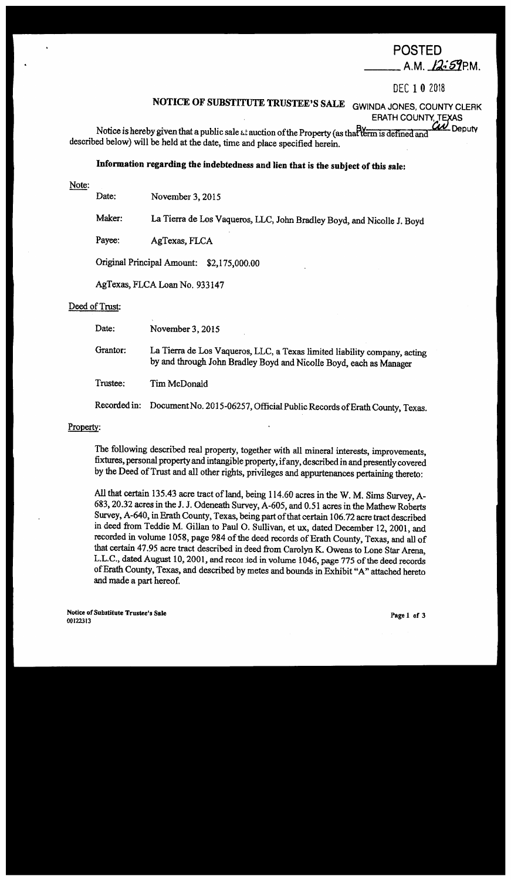# POSTED

 $\_$  A.M.  $12:59$ P.M.

DEC 1 0 <sup>2018</sup>

# **NOTICE OF SUBSTITUTE TRUSTEE'S SALE GWINDA JONES, COUNTY CLERK**

ERATH COUNTY, TEXAS

Notice is hereby given that a public sale *at auction of the Property (as that term is defined and* Deputy described below) will be held at the date, time and place specified herein.

# **Information regarding the indebtedness and lien that is the subject of this sale:**

Note:

Date: November 3, 2015

Maker: La Tierra de Los Vaqueros, LLC, John Bradley Boyd, and Nicolle J. Boyd

Payee: AgTexas, FLCA

Original Principal Amount: \$2,175,000.00

AgTexas, FLCALoan No. 933147

## Deed of Trust:

Date: November 3, 2015

Grantor: La Tierra de Los Vaqueros, LLC, a Texas limited liability company, acting by and through John Bradley Boyd and Nicolle Boyd, each as Manager

Trustee: Tim McDonald

Recorded in: Document No. 2015-06257, Official Public Records of Erath County, Texas.

## Property:

The following described real property, together with all mineral interests, improvements, fixtures, personal property and intangible property, if any, described in and presently covered by the Deed of Trust and all other rights, privileges and appurtenances pertaining thereto:

All that certain 135.43 acre tract of land, being 114.60 acres in the W. M. Sims Survey, A-683, 20.32 acres in theJ. J. Odeneath Survey, A-605, and 0.51 acres in the Mathew Roberts Survey, A-640, in Erath County, Texas, being part of that certain 106.72 acre tract described in deed from Teddie M. Gillan to Paul 0. Sullivan, et ux, dated December 12, 2001, and recorded in volume 1058, page 984 of the deed records of Erath County, Texas, and all of that certain 47.95 acre tract described in deed from Carolyn K. Owens to Lone Star Arena, L.L.C., dated August 10, 2001, and record ied in volume 1046, page 775 of the deed records of Erath County, Texas, and described by metes and bounds in Exhibit "A" attached hereto and made a part hereof.

**Notice of Substitute Trustee's Sale**  00122313 Page 1 of 3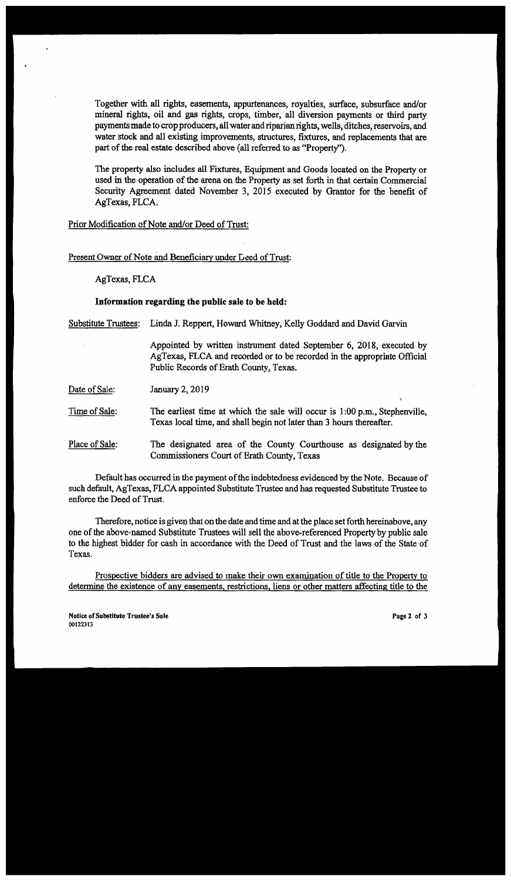Together with all rights, easements, appurtenances, royalties, surface, subsurface and/or mineral rights, oil and gas rights, crops, timber, all diversion payments or third party payments made to crop producers, all water and riparian rights, wells, ditches, reservoirs, and water stock and all existing improvements, structures, fixtures, and replacements that are part of the real estate described above (all referred to as "Property'').

The property also includes all Fixtures, Equipment and Goods located on the Property or used in the operation of the arena on the Property as set forth in that certain Commercial Security Agreement dated November 3, 2015 executed by Grantor for the benefit of AgTexas, FLCA.

Prior Modification of Note and/or Deed of Trust:

Present Owner of Note and Beneficiary under Leed of Trust:

AgTexas, FLCA

### **Information regarding the public sale to be held:**

Substitute Trustees: Linda J. Reppert, Howard Whitney, Kelly Goddard and David Garvin

Appointed by written instrument dated September 6, 2018, executed by AgTexas, FLCA and recorded or to be recorded in the appropriate Official Public Records of Erath County, Texas.

Date of Sale: January 2, 2019

Time of **Sale:**  The earliest time at which the sale will occur is 1:00 p.m., Stephenville, Texas local time, and shall begin not later than 3 hours thereafter.

Place of Sale: The designated area of the County Courthouse as designated by the Commissioners Court of Erath County, Texas

Default has occurred in the payment of the indebtedness evidenced by the Note. Because of such default, AgTexas, FLCA appointed Substitute Trustee and has requested Substitute Trustee to enforce the Deed of Trust.

Therefore, notice is given that on the date and time and at the place set forth hereinabove, any one of the above-named Substitute Trustees will sell the above-referenced Property by public sale to the highest bidder for cash in accordance with the Deed of Trust and the laws of the State of Texas.

Prospective bidders are advised to make their own examination of title to the Property to determine the existence of any easements, restrictions, liens or other matters affecting title to the

**Notice or Substitute Trustee's Sale**  00122313

**Page :2 or** 3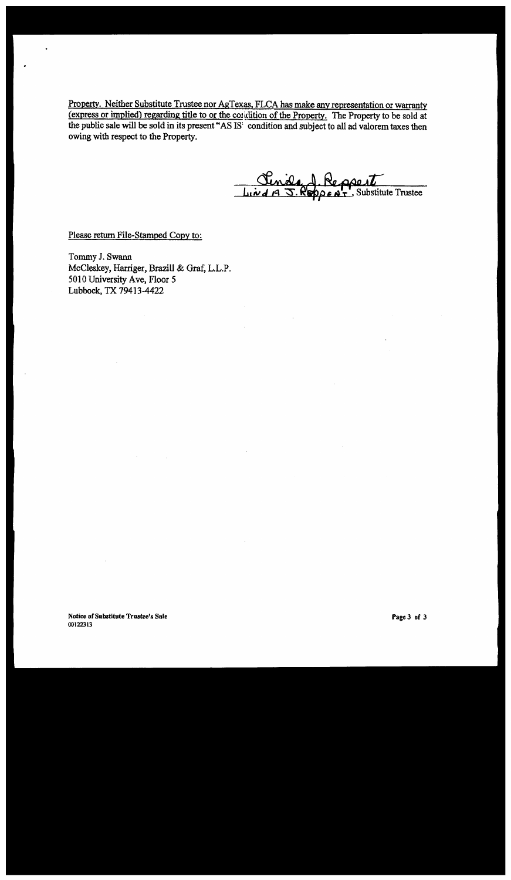Property. Neither Substitute Trustee nor AgTexas, FLCA has make any representation or warranty (express or implied) regarding title to or the condition of the Property. The Property to be sold at the public sale will be sold in its present "AS IS: condition and subject to all ad valorem taxes then owing with respect to the Property.

Cenida d. Reppert

Please return File-Stamped Copy to:

Tommy J. Swann McCleskey, Harriger, Brazill & Graf, L.L.P. SO 10 University Ave, Floor *5*  Lubbock, TX 79413-4422

**Notice of Substitute Trustee's Sale**  00122313

**Pagc3 of** 3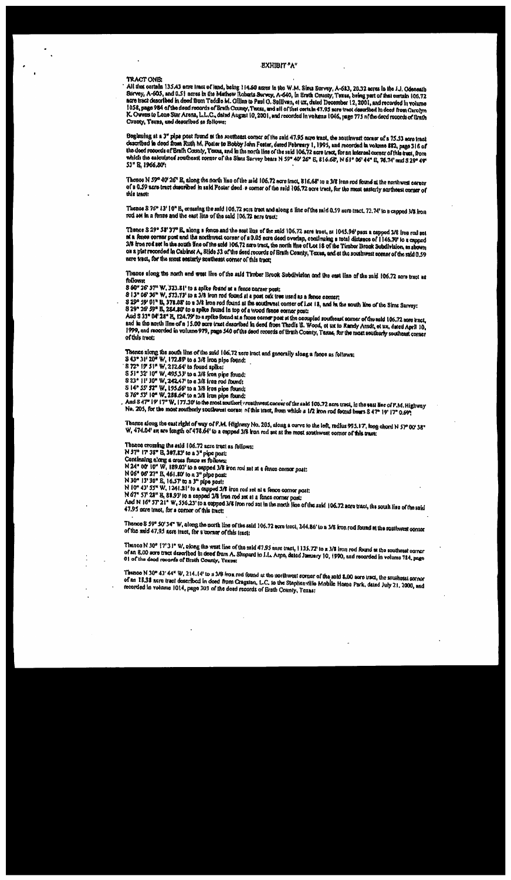#### **EXHIBIT** "A"

#### **TRACT ONE:**

All that cortain 135.43 acre tract of land, being 114.60 acres in the W.M. Sims Survey, A-623, 20.32 acres in the f.J. Odeneath All this corresponding to the corresponding to the corresponding to the corresponding to the corresponding to the corresponding the corresponding to the corresponding to the corresponding the corresponding to the correspon K. Owens to Lone Star Arena, L.L.C., dated August 10, 2001, and recorded in volume 1046, page 775 af the devel records of Ernth County, Texas, and described as follows:

Beginning at a 3" pipe post found at the southeast corner of the said 47.95 acre tract, the southwest corner of a 75.53 acre tract described in deed from Ruth M. Poster to Bobby John Foster, dated February 1, 1995, and recorded in volume 882, page 316 of the doed records of Erath County, Texas, and in the north line of the said 106.72 acre tract, for an interest corner of this tract, from which the ealculated southeast corner of the Slans Survey bears N 59" 40' 26" E, 816.68, N 61" 06' 44" E, 76.74' and S 29° 49° 53" R. 1966.80%

Thonce N 59° 40' 26" E, along the north line of the said 106.72 acre tract, 816.68' to a 3/8 iron rod found at the northwest corner of a 0.59 acre tract described in said Poster deed + corner of the said 106.72 acre tract, for the most easterly northeast corner of this tract:

Thence S 76° 13' 10" B, crassing the said 106.72 son tract and along a line of the said 0.59 acre tract. 72.74' to a capped 3/8 from rod set in a fonce and the east line of the said 106.72 acre tract:

Thence S 29° 58' 37" E, along a fonce and the east line of the said 106.72 acre tract, at 1045.96' pass a capped 1/8 from real set at a fence corner post and the northwest corner of a 0.05 acre deed overlap, continuing a total distance of 1146.70 to a capped 3/8 trees with put the south the of the said 106.72 age tract, the north thre of Lot 18 of the Timber Brook Subdivision, as shown on a plat recorded in Cabinet A, Slide 33 of the deed records of Brath County, Texas, and at the southwest corner of the said 0.59 acre test, for the most easierly southeast corner of this a act;

Thence along the north and west line of the said Timber Brook Subdivision and the cast line of the said 106.72 acre tract as follows:

S 60° 26' 57" W. 323.81' to a spike found at a fence corner post:

8 13° 06' 36" W, 573.73' to a 3/8 fron rod found at a post oak free used as a fence corner;

3 19° 59' 01" B, 378.08' to a 3/8 lion rod found at the southwest corner of Lot 18, and in the south line of the Sims Survey: S 29° 26' 59" B, 284.80' to a splite found in top of a wood fence corner post:

And S 33" 04" 28" E, 124.79" to a spike found at a forse comer post at the occupied southeast corner of the said 106.72 asse a not, and in the north line of a 15.00 acre trast described in deed from Thodis B. Wood, of ux to Randy Arndt, et ux, dated April 10, 1999, and recorded in volume 979, page 540 of the deed records of Brath County, Texas, for the most southerly southeast corner of this tract;

Thence along the south line of the said 106.72 nere irect and generally sloag a fence as follows;

8 43° 31' 204' W, 172.89' to a 3/8 from pipe found:<br>8 72° 17' 51" W, 212.64' to 6ound spike:

S 51° 32' 10" W, 495.33' to a 3/8 from pipe frund:

S 23<sup>°</sup> 11' 30" W, 242.47' to a 3/8 ican rod found:

S 14° 55' 52" W, 195.66' to a 3/8 from pipe found;

817 33' 10" W. 288.64' to a 2/8 iron pipe found:<br>876° 53' 10" W. 288.64' to a 2/8 iron pipe found:<br>And 8 47" 19' 17" W. 177.30' to the most southerly reathwest corner of the sakt 106.72 acre tract, in the east line of P.M. No. 205, for the most routherly southwest corses of this tract, from which a 1/2 iron rod found hours S 47° 19' 17" 0.699

Thence along the east right of way of P.M. Highway No. 205, along a curve to the left, radius 995.17, long chord N 57°00'38" W. 474.04' an are longth of 478.64' to a capped 3/8 fron red set at the most southwest corner of this track.

Theore crossing the said 106.72 acre tract as follows:

N 57° 17' 38" B, 307,83' to a 3" pipe post:

Continuing along a cross funce as follows:

N 24° 00' 10" W, 189.01" to a capped 3/8 iron rod set at a fence cornor post:<br>N 06° 06' 27" E, 461.80' to a 3" pipe post:

N 30° 13' 30" E, 16.57 to a 3" pipe post:

N 10° 43' 55" W, 1241.21' to a capped 3/8 iron rod set at a fence cornor post: N 67° 57' 28" B, 88.93' to a capped 3/8 from rod set at a fonce corner post:

And N 16° 57'21" W. 556.23' to a cupped 3/8 fron red set in the nexth line of the said 106.72 acre tract, the south line of the said 47,95 nere tract, for a corner of this tract:

Thence \$ 59° 50' 34" W, along the north line of the said 106.72 acre (necl, 244.86' to a 3/8 fron red found at the southwest corner of the said 47.95 acre inct, for a corner of this tract:

Thence N 10° [7'3]" W, along the west line of the sald 47.95 nore tract, 1115.72' to a 3/3 from rod found at the southeast correr of an 8.00 gase tract described in deed from A. Shepard to I.L. Arps, dated Jamary 10, 1990, and recorded in volume 784, page 01 of the deed records of Brath County, Texus:

Thence N 30° 43' 44" W, 214.14' to a 3/8 from rad found at the northwest sorner of the said 8.00 acre tract, the southeast corner of an 18.38 acre tract described in doed from Cragstan, L.C. to the Staplian ville Mobile Home Park, dated July 21, 2000, and recorded in volume 1014, page 303 of the doed records of Erath County, Texas: